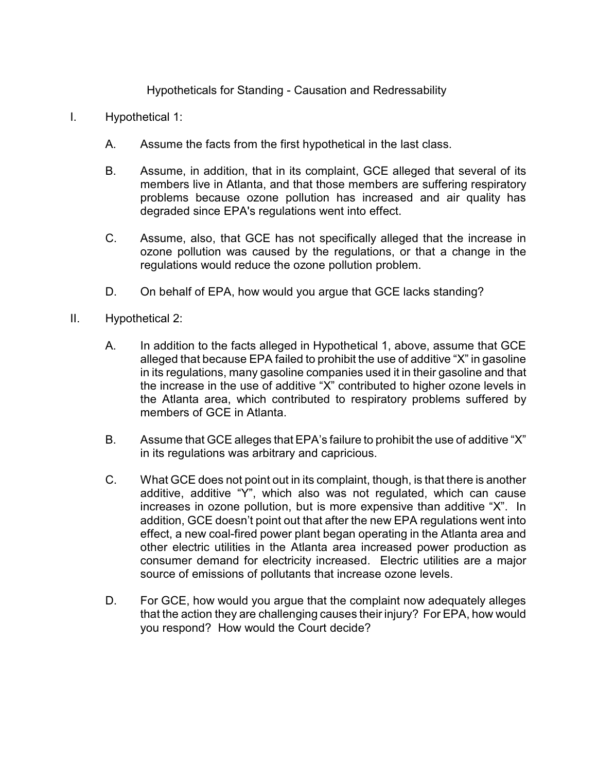## Hypotheticals for Standing - Causation and Redressability

- I. Hypothetical 1:
	- A. Assume the facts from the first hypothetical in the last class.
	- B. Assume, in addition, that in its complaint, GCE alleged that several of its members live in Atlanta, and that those members are suffering respiratory problems because ozone pollution has increased and air quality has degraded since EPA's regulations went into effect.
	- C. Assume, also, that GCE has not specifically alleged that the increase in ozone pollution was caused by the regulations, or that a change in the regulations would reduce the ozone pollution problem.
	- D. On behalf of EPA, how would you argue that GCE lacks standing?
- II. Hypothetical 2:
	- A. In addition to the facts alleged in Hypothetical 1, above, assume that GCE alleged that because EPA failed to prohibit the use of additive "X" in gasoline in its regulations, many gasoline companies used it in their gasoline and that the increase in the use of additive "X" contributed to higher ozone levels in the Atlanta area, which contributed to respiratory problems suffered by members of GCE in Atlanta.
	- B. Assume that GCE alleges that EPA's failure to prohibit the use of additive "X" in its regulations was arbitrary and capricious.
	- C. What GCE does not point out in its complaint, though, is that there is another additive, additive "Y", which also was not regulated, which can cause increases in ozone pollution, but is more expensive than additive "X". In addition, GCE doesn't point out that after the new EPA regulations went into effect, a new coal-fired power plant began operating in the Atlanta area and other electric utilities in the Atlanta area increased power production as consumer demand for electricity increased. Electric utilities are a major source of emissions of pollutants that increase ozone levels.
	- D. For GCE, how would you argue that the complaint now adequately alleges that the action they are challenging causes their injury? For EPA, how would you respond? How would the Court decide?